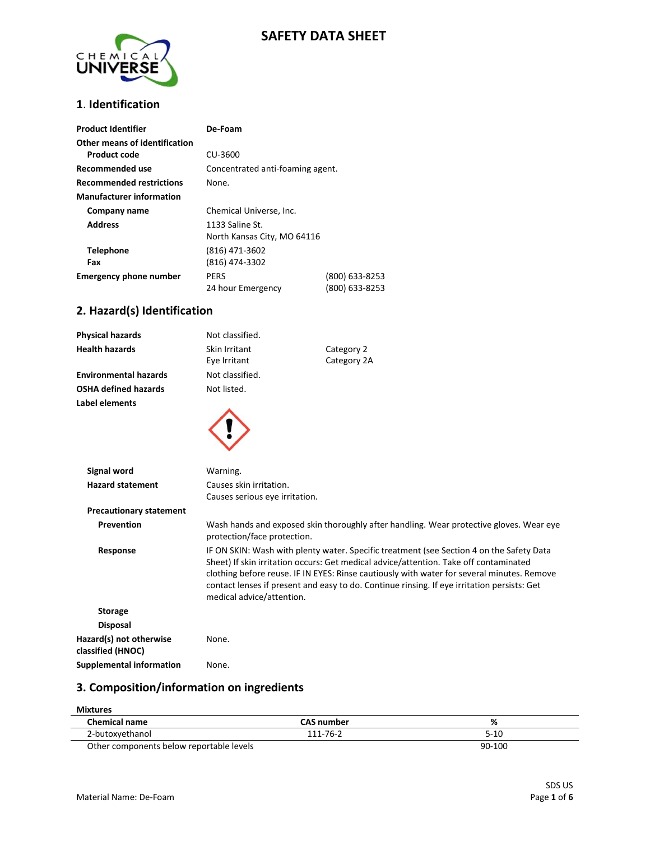## **SAFETY DATA SHEET**



#### **1**. **Identification**

| <b>Product Identifier</b>       | De-Foam                          |                |
|---------------------------------|----------------------------------|----------------|
| Other means of identification   |                                  |                |
| <b>Product code</b>             | CU-3600                          |                |
| Recommended use                 | Concentrated anti-foaming agent. |                |
| <b>Recommended restrictions</b> | None.                            |                |
| <b>Manufacturer information</b> |                                  |                |
| Company name                    | Chemical Universe, Inc.          |                |
| <b>Address</b>                  | 1133 Saline St.                  |                |
|                                 | North Kansas City, MO 64116      |                |
| <b>Telephone</b>                | (816) 471-3602                   |                |
| Fax                             | (816) 474-3302                   |                |
| <b>Emergency phone number</b>   | <b>PERS</b>                      | (800) 633-8253 |
|                                 | 24 hour Emergency                | (800) 633-8253 |

## **2. Hazard(s) Identification**

| <b>Physical hazards</b>                      | Not classified.                |                                                                                                                                                                                                                                                                                                                                                                                |
|----------------------------------------------|--------------------------------|--------------------------------------------------------------------------------------------------------------------------------------------------------------------------------------------------------------------------------------------------------------------------------------------------------------------------------------------------------------------------------|
| <b>Health hazards</b>                        | Skin Irritant                  | Category 2                                                                                                                                                                                                                                                                                                                                                                     |
|                                              | Eye Irritant                   | Category 2A                                                                                                                                                                                                                                                                                                                                                                    |
| <b>Environmental hazards</b>                 | Not classified.                |                                                                                                                                                                                                                                                                                                                                                                                |
| <b>OSHA defined hazards</b>                  | Not listed.                    |                                                                                                                                                                                                                                                                                                                                                                                |
| Label elements                               |                                |                                                                                                                                                                                                                                                                                                                                                                                |
|                                              |                                |                                                                                                                                                                                                                                                                                                                                                                                |
| Signal word                                  | Warning.                       |                                                                                                                                                                                                                                                                                                                                                                                |
| <b>Hazard statement</b>                      | Causes skin irritation.        |                                                                                                                                                                                                                                                                                                                                                                                |
|                                              | Causes serious eye irritation. |                                                                                                                                                                                                                                                                                                                                                                                |
| <b>Precautionary statement</b>               |                                |                                                                                                                                                                                                                                                                                                                                                                                |
| Prevention                                   | protection/face protection.    | Wash hands and exposed skin thoroughly after handling. Wear protective gloves. Wear eye                                                                                                                                                                                                                                                                                        |
| Response                                     | medical advice/attention.      | IF ON SKIN: Wash with plenty water. Specific treatment (see Section 4 on the Safety Data<br>Sheet) If skin irritation occurs: Get medical advice/attention. Take off contaminated<br>clothing before reuse. IF IN EYES: Rinse cautiously with water for several minutes. Remove<br>contact lenses if present and easy to do. Continue rinsing. If eye irritation persists: Get |
| <b>Storage</b>                               |                                |                                                                                                                                                                                                                                                                                                                                                                                |
| <b>Disposal</b>                              |                                |                                                                                                                                                                                                                                                                                                                                                                                |
| Hazard(s) not otherwise<br>classified (HNOC) | None.                          |                                                                                                                                                                                                                                                                                                                                                                                |
| <b>Supplemental information</b>              | None.                          |                                                                                                                                                                                                                                                                                                                                                                                |

# **3. Composition/information on ingredients**

#### **Mixtures**

| <b>Chemical name</b>                     | <b>CAS number</b> | %        |
|------------------------------------------|-------------------|----------|
| 2-butoxyethanol                          | 111-76-2          | $5 - 10$ |
| Other components below reportable levels |                   | 90-100   |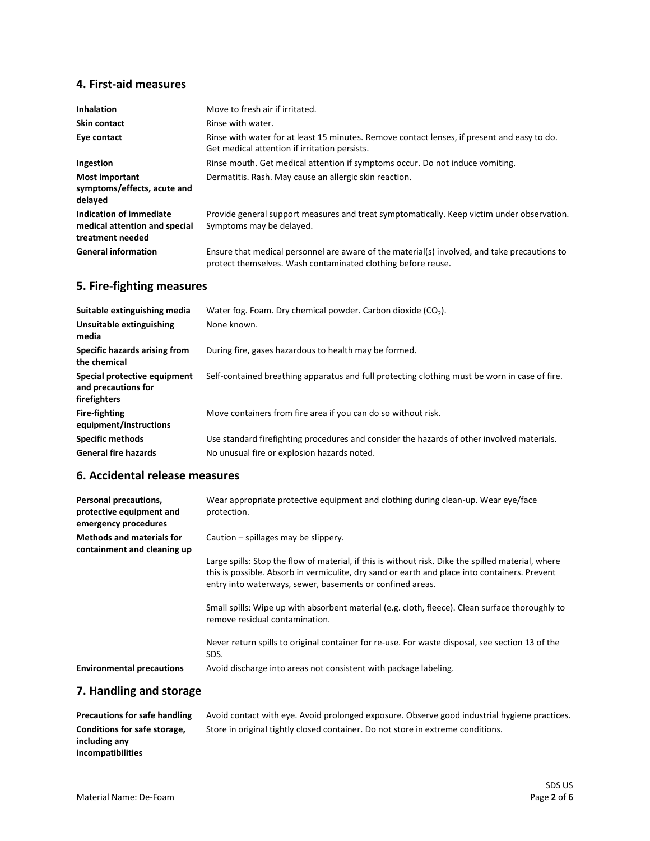## **4. First-aid measures**

| <b>Inhalation</b>                                                            | Move to fresh air if irritated.                                                                                                                              |
|------------------------------------------------------------------------------|--------------------------------------------------------------------------------------------------------------------------------------------------------------|
| <b>Skin contact</b>                                                          | Rinse with water.                                                                                                                                            |
| Eye contact                                                                  | Rinse with water for at least 15 minutes. Remove contact lenses, if present and easy to do.<br>Get medical attention if irritation persists.                 |
| Ingestion                                                                    | Rinse mouth. Get medical attention if symptoms occur. Do not induce vomiting.                                                                                |
| <b>Most important</b><br>symptoms/effects, acute and<br>delayed              | Dermatitis. Rash. May cause an allergic skin reaction.                                                                                                       |
| Indication of immediate<br>medical attention and special<br>treatment needed | Provide general support measures and treat symptomatically. Keep victim under observation.<br>Symptoms may be delayed.                                       |
| <b>General information</b>                                                   | Ensure that medical personnel are aware of the material(s) involved, and take precautions to<br>protect themselves. Wash contaminated clothing before reuse. |

## **5. Fire-fighting measures**

| Suitable extinguishing media                                        | Water fog. Foam. Dry chemical powder. Carbon dioxide $(CO2)$ .                                |
|---------------------------------------------------------------------|-----------------------------------------------------------------------------------------------|
| Unsuitable extinguishing<br>media                                   | None known.                                                                                   |
| Specific hazards arising from<br>the chemical                       | During fire, gases hazardous to health may be formed.                                         |
| Special protective equipment<br>and precautions for<br>firefighters | Self-contained breathing apparatus and full protecting clothing must be worn in case of fire. |
| <b>Fire-fighting</b><br>equipment/instructions                      | Move containers from fire area if you can do so without risk.                                 |
| <b>Specific methods</b>                                             | Use standard firefighting procedures and consider the hazards of other involved materials.    |
| <b>General fire hazards</b>                                         | No unusual fire or explosion hazards noted.                                                   |

## **6. Accidental release measures**

| Personal precautions,<br>protective equipment and<br>emergency procedures | Wear appropriate protective equipment and clothing during clean-up. Wear eye/face<br>protection.                                                                                                                                                                 |
|---------------------------------------------------------------------------|------------------------------------------------------------------------------------------------------------------------------------------------------------------------------------------------------------------------------------------------------------------|
| <b>Methods and materials for</b><br>containment and cleaning up           | Caution – spillages may be slippery.                                                                                                                                                                                                                             |
|                                                                           | Large spills: Stop the flow of material, if this is without risk. Dike the spilled material, where<br>this is possible. Absorb in vermiculite, dry sand or earth and place into containers. Prevent<br>entry into waterways, sewer, basements or confined areas. |
|                                                                           | Small spills: Wipe up with absorbent material (e.g. cloth, fleece). Clean surface thoroughly to<br>remove residual contamination.                                                                                                                                |
|                                                                           | Never return spills to original container for re-use. For waste disposal, see section 13 of the<br>SDS.                                                                                                                                                          |
| <b>Environmental precautions</b>                                          | Avoid discharge into areas not consistent with package labeling.                                                                                                                                                                                                 |

# **7. Handling and storage**

| <b>Precautions for safe handling</b> | Avoid contact with eve. Avoid prolonged exposure. Observe good industrial hygiene practices. |
|--------------------------------------|----------------------------------------------------------------------------------------------|
| Conditions for safe storage,         | Store in original tightly closed container. Do not store in extreme conditions.              |
| including any                        |                                                                                              |
| incompatibilities                    |                                                                                              |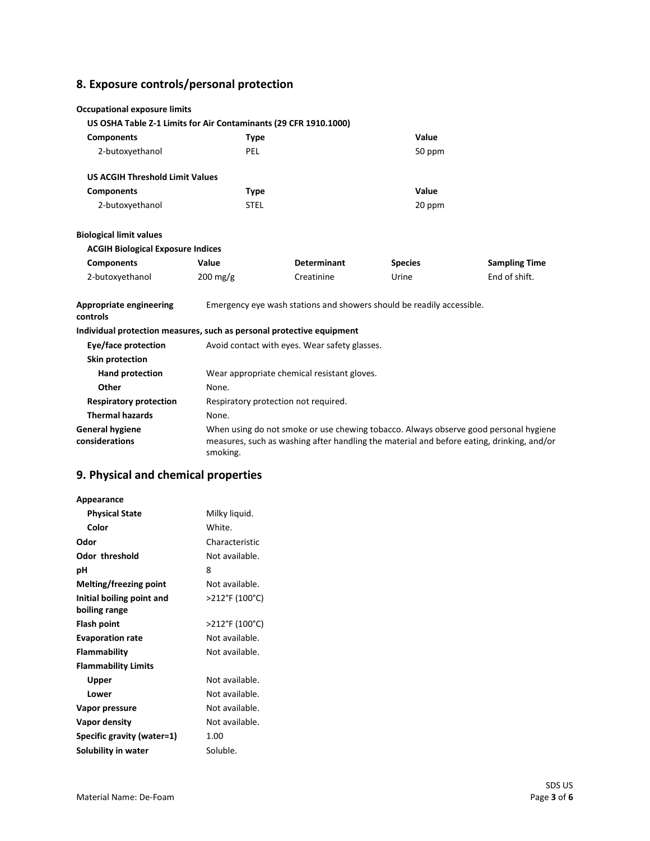# **8. Exposure controls/personal protection**

| <b>Occupational exposure limits</b>                                   |                       |                                                                       |                |                                                                                                                                                                                   |
|-----------------------------------------------------------------------|-----------------------|-----------------------------------------------------------------------|----------------|-----------------------------------------------------------------------------------------------------------------------------------------------------------------------------------|
| US OSHA Table Z-1 Limits for Air Contaminants (29 CFR 1910.1000)      |                       |                                                                       |                |                                                                                                                                                                                   |
| <b>Components</b>                                                     | <b>Type</b>           |                                                                       | Value          |                                                                                                                                                                                   |
| 2-butoxyethanol                                                       | <b>PEL</b>            |                                                                       | 50 ppm         |                                                                                                                                                                                   |
| <b>US ACGIH Threshold Limit Values</b>                                |                       |                                                                       |                |                                                                                                                                                                                   |
| <b>Components</b>                                                     | <b>Type</b>           |                                                                       | Value          |                                                                                                                                                                                   |
| 2-butoxyethanol                                                       | <b>STEL</b>           |                                                                       | 20 ppm         |                                                                                                                                                                                   |
| <b>Biological limit values</b>                                        |                       |                                                                       |                |                                                                                                                                                                                   |
| <b>ACGIH Biological Exposure Indices</b>                              |                       |                                                                       |                |                                                                                                                                                                                   |
| <b>Components</b>                                                     | Value                 | <b>Determinant</b>                                                    | <b>Species</b> | <b>Sampling Time</b>                                                                                                                                                              |
| 2-butoxyethanol                                                       | $200 \,\mathrm{mg/g}$ | Creatinine                                                            | Urine          | End of shift.                                                                                                                                                                     |
| Appropriate engineering<br>controls                                   |                       | Emergency eye wash stations and showers should be readily accessible. |                |                                                                                                                                                                                   |
| Individual protection measures, such as personal protective equipment |                       |                                                                       |                |                                                                                                                                                                                   |
| Eye/face protection                                                   |                       | Avoid contact with eyes. Wear safety glasses.                         |                |                                                                                                                                                                                   |
| <b>Skin protection</b>                                                |                       |                                                                       |                |                                                                                                                                                                                   |
| Hand protection                                                       |                       | Wear appropriate chemical resistant gloves.                           |                |                                                                                                                                                                                   |
| Other                                                                 | None.                 |                                                                       |                |                                                                                                                                                                                   |
| <b>Respiratory protection</b>                                         |                       | Respiratory protection not required.                                  |                |                                                                                                                                                                                   |
| <b>Thermal hazards</b>                                                | None.                 |                                                                       |                |                                                                                                                                                                                   |
| <b>General hygiene</b><br>considerations                              | smoking.              |                                                                       |                | When using do not smoke or use chewing tobacco. Always observe good personal hygiene<br>measures, such as washing after handling the material and before eating, drinking, and/or |

# **9. Physical and chemical properties**

| Appearance                 |                |
|----------------------------|----------------|
| <b>Physical State</b>      | Milky liquid.  |
| Color                      | White.         |
| Odor                       | Characteristic |
| Odor threshold             | Not available. |
| рH                         | 8              |
| Melting/freezing point     | Not available. |
| Initial boiling point and  | >212°F (100°C) |
| boiling range              |                |
| Flash point                | >212°F (100°C) |
| <b>Evaporation rate</b>    | Not available. |
| Flammability               | Not available. |
| <b>Flammability Limits</b> |                |
| Upper                      | Not available. |
| Lower                      | Not available. |
| Vapor pressure             | Not available. |
| Vapor density              | Not available. |
| Specific gravity (water=1) | 1.00           |
| Solubility in water        | Soluble.       |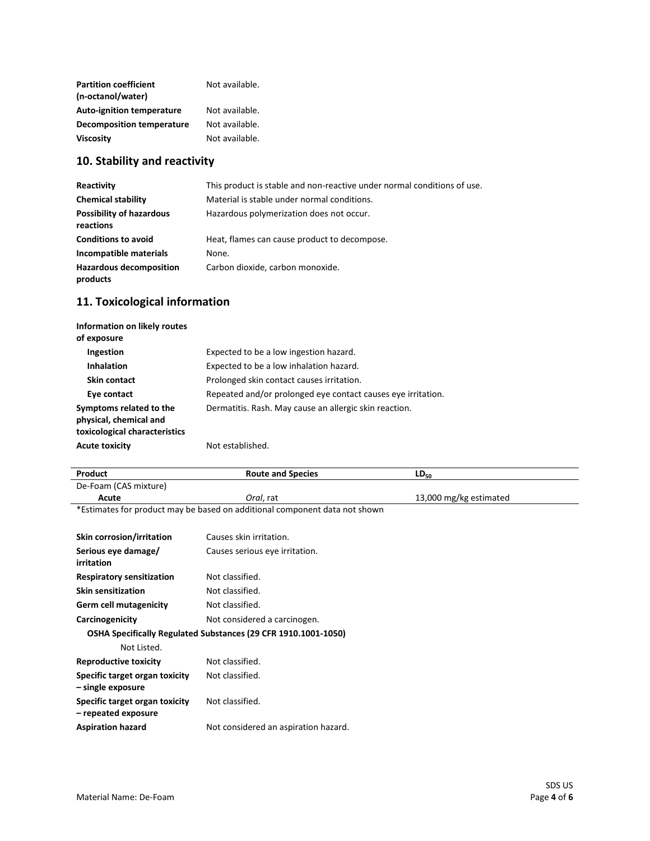| <b>Partition coefficient</b><br>(n-octanol/water) | Not available. |
|---------------------------------------------------|----------------|
| <b>Auto-ignition temperature</b>                  | Not available. |
| <b>Decomposition temperature</b>                  | Not available. |
| <b>Viscosity</b>                                  | Not available. |

# **10. Stability and reactivity**

| Reactivity                                   | This product is stable and non-reactive under normal conditions of use. |
|----------------------------------------------|-------------------------------------------------------------------------|
| <b>Chemical stability</b>                    | Material is stable under normal conditions.                             |
| <b>Possibility of hazardous</b><br>reactions | Hazardous polymerization does not occur.                                |
| <b>Conditions to avoid</b>                   | Heat, flames can cause product to decompose.                            |
| Incompatible materials                       | None.                                                                   |
| <b>Hazardous decomposition</b><br>products   | Carbon dioxide, carbon monoxide.                                        |

# **11. Toxicological information**

| Information on likely routes<br>of exposure                                        |                                                              |
|------------------------------------------------------------------------------------|--------------------------------------------------------------|
| Ingestion                                                                          | Expected to be a low ingestion hazard.                       |
| <b>Inhalation</b>                                                                  | Expected to be a low inhalation hazard.                      |
| Skin contact                                                                       | Prolonged skin contact causes irritation.                    |
| Eye contact                                                                        | Repeated and/or prolonged eye contact causes eye irritation. |
| Symptoms related to the<br>physical, chemical and<br>toxicological characteristics | Dermatitis. Rash. May cause an allergic skin reaction.       |
| <b>Acute toxicity</b>                                                              | Not established.                                             |

| Product                                                        | <b>Route and Species</b>                                                   | $LD_{50}$              |  |
|----------------------------------------------------------------|----------------------------------------------------------------------------|------------------------|--|
| De-Foam (CAS mixture)                                          |                                                                            |                        |  |
| Acute                                                          | Oral, rat                                                                  | 13,000 mg/kg estimated |  |
|                                                                | *Estimates for product may be based on additional component data not shown |                        |  |
| Skin corrosion/irritation                                      | Causes skin irritation.                                                    |                        |  |
| Serious eye damage/<br>irritation                              | Causes serious eye irritation.                                             |                        |  |
| <b>Respiratory sensitization</b>                               | Not classified.                                                            |                        |  |
| <b>Skin sensitization</b>                                      | Not classified.                                                            |                        |  |
| <b>Germ cell mutagenicity</b>                                  | Not classified.                                                            |                        |  |
| Carcinogenicity                                                | Not considered a carcinogen.                                               |                        |  |
| OSHA Specifically Regulated Substances (29 CFR 1910.1001-1050) |                                                                            |                        |  |
| Not Listed.                                                    |                                                                            |                        |  |
| <b>Reproductive toxicity</b>                                   | Not classified.                                                            |                        |  |
| Specific target organ toxicity<br>- single exposure            | Not classified.                                                            |                        |  |
| Specific target organ toxicity<br>- repeated exposure          | Not classified.                                                            |                        |  |
| <b>Aspiration hazard</b>                                       | Not considered an aspiration hazard.                                       |                        |  |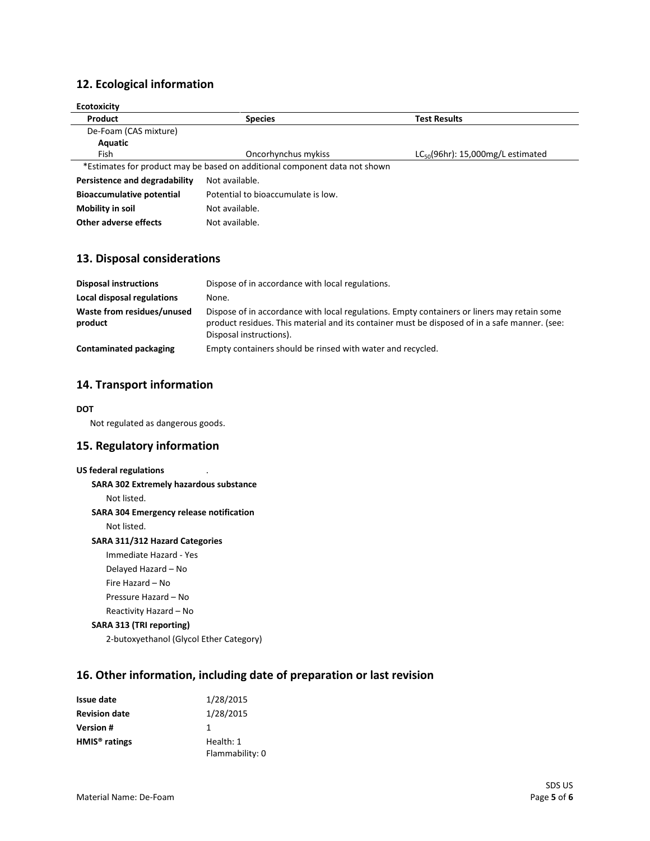## **12. Ecological information**

| <b>Ecotoxicity</b>               |                                                                            |                                        |
|----------------------------------|----------------------------------------------------------------------------|----------------------------------------|
| Product                          | <b>Species</b>                                                             | <b>Test Results</b>                    |
| De-Foam (CAS mixture)            |                                                                            |                                        |
| Aquatic                          |                                                                            |                                        |
| Fish                             | Oncorhynchus mykiss                                                        | $LC_{50}(96hr)$ : 15,000mg/L estimated |
|                                  | *Estimates for product may be based on additional component data not shown |                                        |
| Persistence and degradability    | Not available.                                                             |                                        |
| <b>Bioaccumulative potential</b> | Potential to bioaccumulate is low.                                         |                                        |
| Mobility in soil                 | Not available.                                                             |                                        |
| Other adverse effects            | Not available.                                                             |                                        |

#### **13. Disposal considerations**

| <b>Disposal instructions</b>          | Dispose of in accordance with local regulations.                                                                                                                                                                        |
|---------------------------------------|-------------------------------------------------------------------------------------------------------------------------------------------------------------------------------------------------------------------------|
| Local disposal regulations            | None.                                                                                                                                                                                                                   |
| Waste from residues/unused<br>product | Dispose of in accordance with local regulations. Empty containers or liners may retain some<br>product residues. This material and its container must be disposed of in a safe manner. (see:<br>Disposal instructions). |
| Contaminated packaging                | Empty containers should be rinsed with water and recycled.                                                                                                                                                              |

### **14. Transport information**

#### **DOT**

Not regulated as dangerous goods.

#### **15. Regulatory information**

#### **US federal regulations** .

**SARA 302 Extremely hazardous substance**

Not listed.

#### **SARA 304 Emergency release notification**

Not listed.

#### **SARA 311/312 Hazard Categories**

Immediate Hazard - Yes Delayed Hazard – No Fire Hazard – No Pressure Hazard – No Reactivity Hazard – No

# **SARA 313 (TRI reporting)**

2-butoxyethanol (Glycol Ether Category)

## **16. Other information, including date of preparation or last revision**

| <b>Issue date</b>         | 1/28/2015       |
|---------------------------|-----------------|
| <b>Revision date</b>      | 1/28/2015       |
| Version #                 | 1               |
| HMIS <sup>®</sup> ratings | Health: 1       |
|                           | Flammability: 0 |